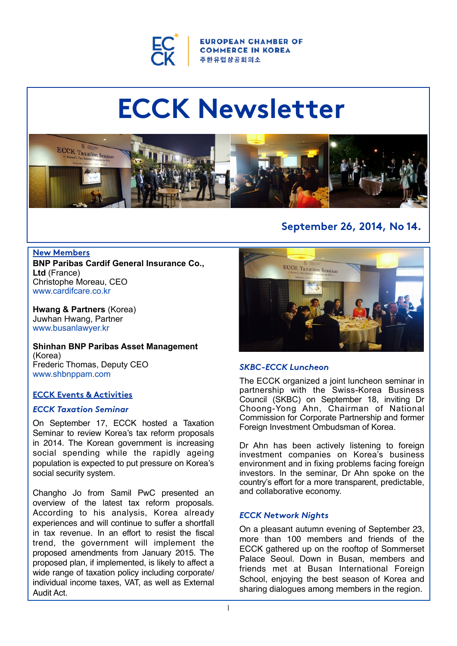

**EUROPEAN CHAMBER OF COMMERCE IN KOREA** 주한유럽상공회의소

# **ECCK Newsletter**



#### **New Members BNP Paribas Cardif General Insurance Co., Ltd** (France) Christophe Moreau, CEO [www.cardifcare.co.kr](http://www.cardifcare.co.kr/)

**Hwang & Partners** (Korea) Juwhan Hwang, Partner [www.busanlawyer.kr](http://www.busanlawyer.kr/)

**Shinhan BNP Paribas Asset Management**  (Korea) Frederic Thomas, Deputy CEO [www.shbnppam.com](http://www.shbnppam.com/)

# **ECCK Events & Activities**

## *ECCK Taxation Seminar*

On September 17, ECCK hosted a Taxation Seminar to review Korea's tax reform proposals in 2014. The Korean government is increasing social spending while the rapidly ageing population is expected to put pressure on Korea's social security system.

Changho Jo from Samil PwC presented an overview of the latest tax reform proposals. According to his analysis, Korea already experiences and will continue to suffer a shortfall in tax revenue. In an effort to resist the fiscal trend, the government will implement the proposed amendments from January 2015. The proposed plan, if implemented, is likely to affect a wide range of taxation policy including corporate/ individual income taxes, VAT, as well as External Audit Act.

# **September 26, 2014, No 14.**



## *SKBC-ECCK Luncheon*

The ECCK organized a joint luncheon seminar in partnership with the Swiss-Korea Business Council (SKBC) on September 18, inviting Dr Choong-Yong Ahn, Chairman of National Commission for Corporate Partnership and former Foreign Investment Ombudsman of Korea.

Dr Ahn has been actively listening to foreign investment companies on Korea's business environment and in fixing problems facing foreign investors. In the seminar, Dr Ahn spoke on the country's effort for a more transparent, predictable, and collaborative economy.

## *ECCK Network Nights*

On a pleasant autumn evening of September 23, more than 100 members and friends of the ECCK gathered up on the rooftop of Sommerset Palace Seoul. Down in Busan, members and friends met at Busan International Foreign School, enjoying the best season of Korea and sharing dialogues among members in the region.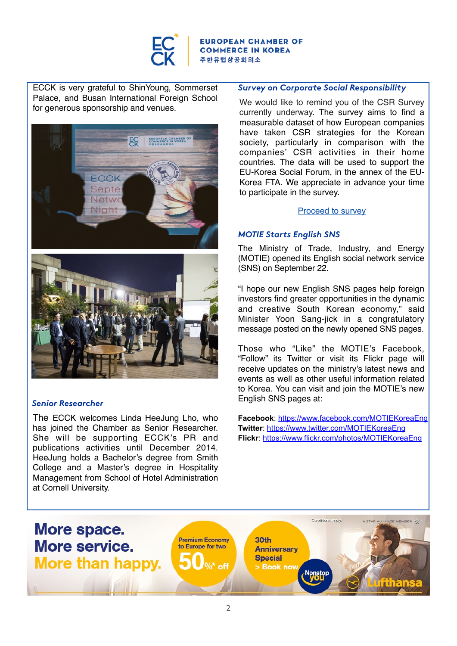

**EUROPEAN CHAMBER OF COMMERCE IN KOREA** 주한유럽상공회의소

ECCK is very grateful to ShinYoung, Sommerset Palace, and Busan International Foreign School for generous sponsorship and venues.



## *Senior Researcher*

The ECCK welcomes Linda HeeJung Lho, who has joined the Chamber as Senior Researcher. She will be supporting ECCK's PR and publications activities until December 2014. HeeJung holds a Bachelor's degree from Smith College and a Master's degree in Hospitality Management from School of Hotel Administration at Cornell University.

#### *Survey on Corporate Social Responsibility*

We would like to remind you of the CSR Survey currently underway. The survey aims to find a measurable dataset of how European companies have taken CSR strategies for the Korean society, particularly in comparison with the companies' CSR activities in their home countries. The data will be used to support the EU-Korea Social Forum, in the annex of the EU-Korea FTA. We appreciate in advance your time to participate in the survey.

#### [Proceed to survey](https://ko.surveymonkey.com/s/ECCKCSR)

#### *MOTIE Starts English SNS*

The Ministry of Trade, Industry, and Energy (MOTIE) opened its English social network service (SNS) on September 22.

"I hope our new English SNS pages help foreign investors find greater opportunities in the dynamic and creative South Korean economy," said Minister Yoon Sang-jick in a congratulatory message posted on the newly opened SNS pages.

Those who "Like" the MOTIE's Facebook, "Follow" its Twitter or visit its Flickr page will receive updates on the ministry's latest news and events as well as other useful information related to Korea. You can visit and join the MOTIE's new English SNS pages at:

**Facebook**:<https://www.facebook.com/MOTIEKoreaEng> **Twitter**:<https://www.twitter.com/MOTIEKoreaEng> **Flickr**:<https://www.flickr.com/photos/MOTIEKoreaEng>

More space.

More than happy. Was off a shook new Nonstop Contributions a

2